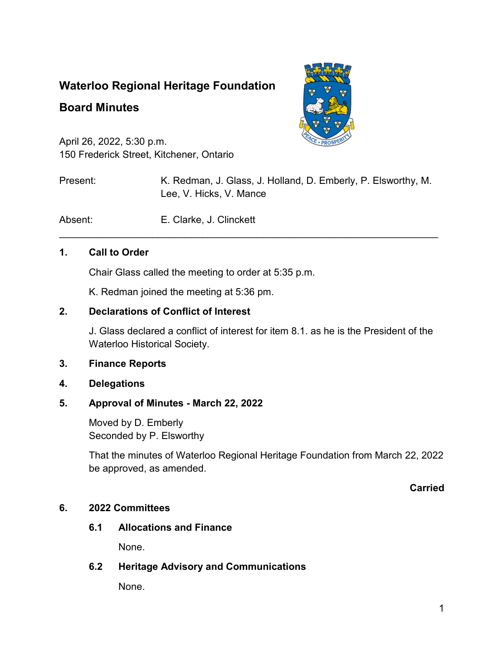# **Waterloo Regional Heritage Foundation**

## **Board Minutes**



April 26, 2022, 5:30 p.m. 150 Frederick Street, Kitchener, Ontario

Present: K. Redman, J. Glass, J. Holland, D. Emberly, P. Elsworthy, M. Lee, V. Hicks, V. Mance

Absent: E. Clarke, J. Clinckett

#### **1. Call to Order**

Chair Glass called the meeting to order at 5:35 p.m.

K. Redman joined the meeting at 5:36 pm.

#### **2. Declarations of Conflict of Interest**

J. Glass declared a conflict of interest for item 8.1. as he is the President of the Waterloo Historical Society.

\_\_\_\_\_\_\_\_\_\_\_\_\_\_\_\_\_\_\_\_\_\_\_\_\_\_\_\_\_\_\_\_\_\_\_\_\_\_\_\_\_\_\_\_\_\_\_\_\_\_\_\_\_\_\_\_\_\_\_\_\_\_\_\_\_\_\_\_\_

#### **3. Finance Reports**

**4. Delegations**

#### **5. Approval of Minutes - March 22, 2022**

Moved by D. Emberly Seconded by P. Elsworthy

That the minutes of Waterloo Regional Heritage Foundation from March 22, 2022 be approved, as amended.

#### **Carried**

#### **6. 2022 Committees**

**6.1 Allocations and Finance**

None.

#### **6.2 Heritage Advisory and Communications**

None.